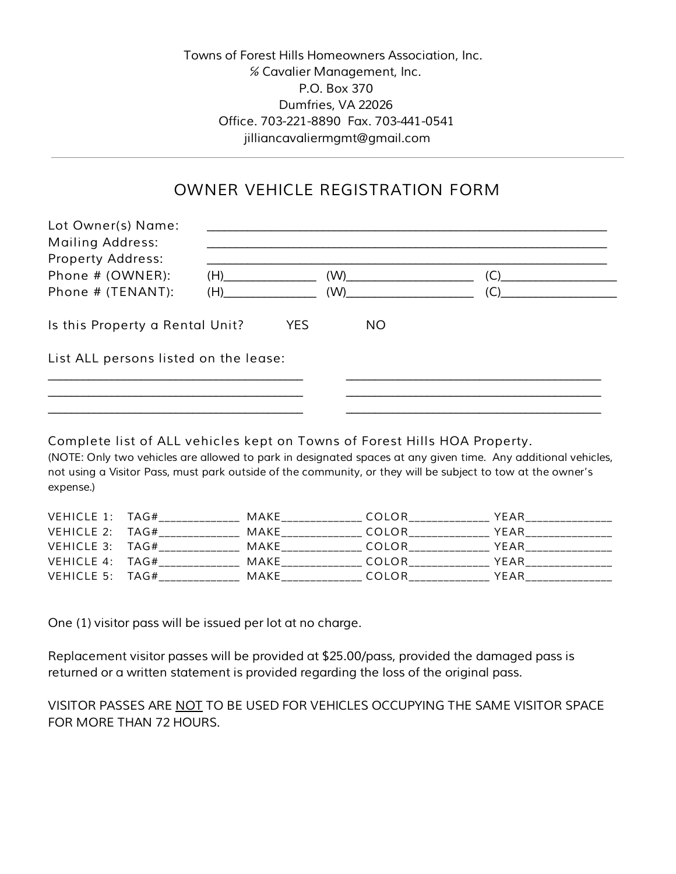Towns of Forest Hills Homeowners Association, Inc. ℅ Cavalier Management, Inc. P.O. Box 370 Dumfries, VA 22026 Office. 703-221-8890 Fax. 703-441-0541 jilliancavaliermgmt@gmail.com

## OWNER VEHICLE REGISTRATION FORM

| (H)                                   |            |           | (C)        |  |  |  |
|---------------------------------------|------------|-----------|------------|--|--|--|
| (H)                                   |            |           | (C)        |  |  |  |
| Is this Property a Rental Unit?       | <b>YES</b> | <b>NO</b> |            |  |  |  |
| List ALL persons listed on the lease: |            |           |            |  |  |  |
|                                       |            |           |            |  |  |  |
|                                       |            |           |            |  |  |  |
|                                       |            |           | (W)<br>(W) |  |  |  |

Complete list of ALL vehicles kept on Towns of Forest Hills HOA Property. (NOTE: Only two vehicles are allowed to park in designated spaces at any given time. Any additional vehicles, not using a Visitor Pass, must park outside of the community, or they will be subject to tow at the owner's expense.)

| VEHICLE $1:TAG#$  | MAKF | COLOR  | YFAR |
|-------------------|------|--------|------|
| VEHICLE $2:TAG#$  | MAKF | COLOR. | YFAR |
| VEHICLE $3: TAG#$ | MAKF | COLOR. | YFAR |
| VEHICLE $4:TAG#$  | MAKF | COLOR  | YFAR |
| VEHICLE 5: $TAG#$ | MAKF | COLOR  | YFAR |

One (1) visitor pass will be issued per lot at no charge.

Replacement visitor passes will be provided at \$25.00/pass, provided the damaged pass is returned or a written statement is provided regarding the loss of the original pass.

VISITOR PASSES ARE NOT TO BE USED FOR VEHICLES OCCUPYING THE SAME VISITOR SPACE FOR MORE THAN 72 HOURS.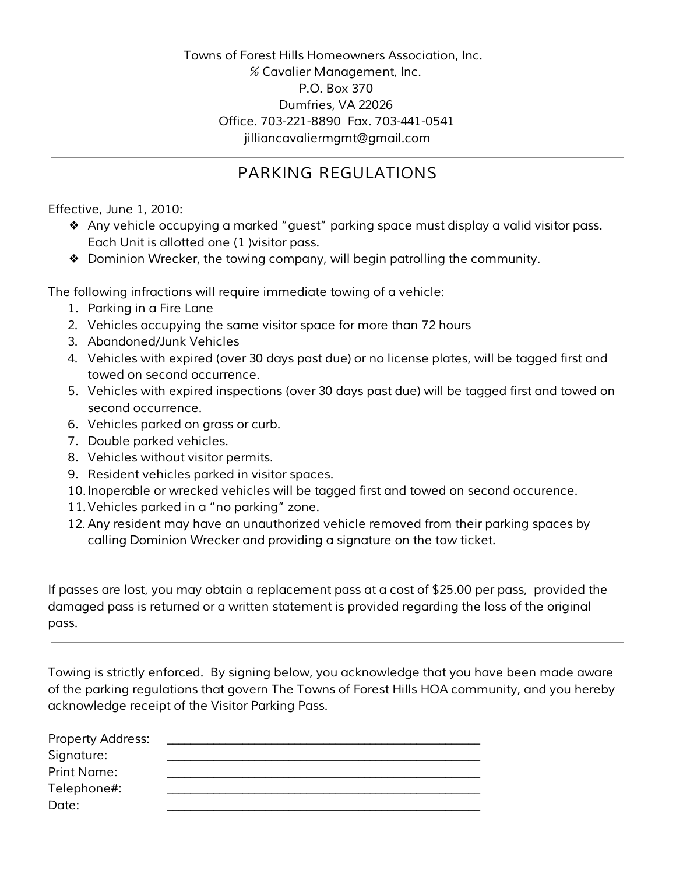Towns of Forest Hills Homeowners Association, Inc. ℅ Cavalier Management, Inc. P.O. Box 370 Dumfries, VA 22026 Office. 703-221-8890 Fax. 703-441-0541 jilliancavaliermgmt@gmail.com

## PARKING REGULATIONS

Effective, June 1, 2010:

- ❖ Any vehicle occupying a marked "guest" parking space must display a valid visitor pass. Each Unit is allotted one (1 )visitor pass.
- ❖ Dominion Wrecker, the towing company, will begin patrolling the community.

The following infractions will require immediate towing of a vehicle:

- 1. Parking in a Fire Lane
- 2. Vehicles occupying the same visitor space for more than 72 hours
- 3. Abandoned/Junk Vehicles
- 4. Vehicles with expired (over 30 days past due) or no license plates, will be tagged first and towed on second occurrence.
- 5. Vehicles with expired inspections (over 30 days past due) will be tagged first and towed on second occurrence.
- 6. Vehicles parked on grass or curb.
- 7. Double parked vehicles.
- 8. Vehicles without visitor permits.
- 9. Resident vehicles parked in visitor spaces.
- 10.Inoperable or wrecked vehicles will be tagged first and towed on second occurence.
- 11.Vehicles parked in a "no parking" zone.
- 12. Any resident may have an unauthorized vehicle removed from their parking spaces by calling Dominion Wrecker and providing a signature on the tow ticket.

If passes are lost, you may obtain a replacement pass at a cost of \$25.00 per pass, provided the damaged pass is returned or a written statement is provided regarding the loss of the original pass.

Towing is strictly enforced. By signing below, you acknowledge that you have been made aware of the parking regulations that govern The Towns of Forest Hills HOA community, and you hereby acknowledge receipt of the Visitor Parking Pass.

| <b>Property Address:</b> |  |
|--------------------------|--|
| Signature:               |  |
| Print Name:              |  |
| Telephone#:              |  |
| Date:                    |  |